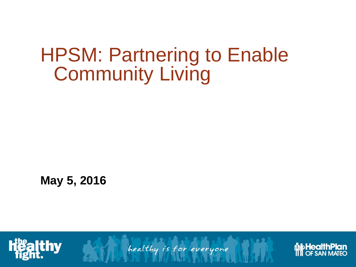## HPSM: Partnering to Enable Community Living

**May 5, 2016**



healthy is for everyone

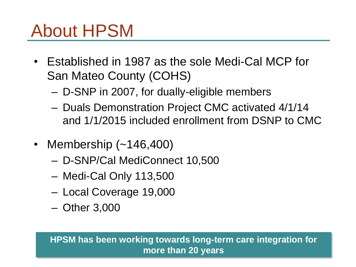## About HPSM

- Established in 1987 as the sole Medi-Cal MCP for San Mateo County (COHS)
	- D-SNP in 2007, for dually-eligible members
	- Duals Demonstration Project CMC activated 4/1/14 and 1/1/2015 included enrollment from DSNP to CMC
- Membership (~146,400)
	- D-SNP/Cal MediConnect 10,500
	- Medi-Cal Only 113,500
	- Local Coverage 19,000
	- Other 3,000

### **HPSM has been working towards long-term care integration for more than 20 years**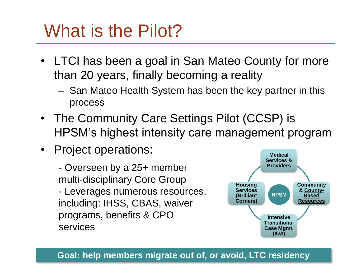## What is the Pilot?

- LTCI has been a goal in San Mateo County for more than 20 years, finally becoming a reality
	- San Mateo Health System has been the key partner in this process
- The Community Care Settings Pilot (CCSP) is HPSM's highest intensity care management program
- Project operations:

- Overseen by a 25+ member multi-disciplinary Core Group - Leverages numerous resources, including: IHSS, CBAS, waiver programs, benefits & CPO services



### **Goal: help members migrate out of, or avoid, LTC residency**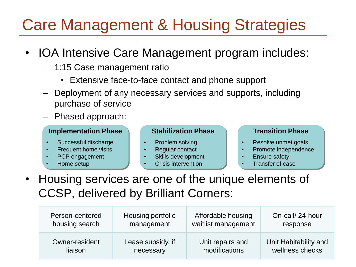## Care Management & Housing Strategies

- IOA Intensive Care Management program includes:
	- 1:15 Case management ratio
		- Extensive face-to-face contact and phone support
	- Deployment of any necessary services and supports, including purchase of service
	- Phased approach:

#### **Implementation Phase**

- Successful discharge
- Frequent home visits
- PCP engagement
- Home setup

#### **Stabilization Phase**

- Problem solving
- **Regular contact**
- Skills development
- Crisis intervention

#### **Transition Phase**

- Resolve unmet goals
- Promote independence
- Ensure safety
- Transfer of case
- Housing services are one of the unique elements of CCSP, delivered by Brilliant Corners:

| Person-centered | Housing portfolio | Affordable housing  | On-call/24-hour       |
|-----------------|-------------------|---------------------|-----------------------|
| housing search  | management        | waitlist management | response              |
| Owner-resident  | Lease subsidy, if | Unit repairs and    | Unit Habitability and |
| liaison         | necessary         | modifications       | wellness checks       |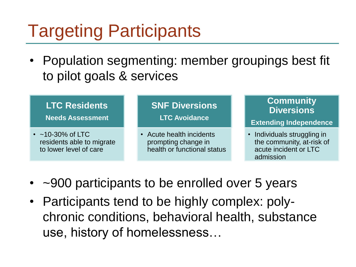## Targeting Participants

• Population segmenting: member groupings best fit to pilot goals & services

### **LTC Residents**

**Needs Assessment**

•  $~10-30\%$  of LTC residents able to migrate to lower level of care

### **SNF Diversions**

**LTC Avoidance**

• Acute health incidents prompting change in health or functional status

### **Community Diversions**

**Extending Independence**

- Individuals struggling in the community, at-risk of acute incident or LTC admission
- ~900 participants to be enrolled over 5 years
- Participants tend to be highly complex: polychronic conditions, behavioral health, substance use, history of homelessness…